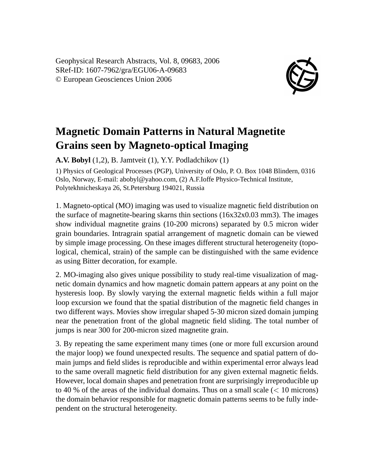Geophysical Research Abstracts, Vol. 8, 09683, 2006 SRef-ID: 1607-7962/gra/EGU06-A-09683 © European Geosciences Union 2006



## **Magnetic Domain Patterns in Natural Magnetite Grains seen by Magneto-optical Imaging**

**A.V. Bobyl** (1,2), B. Jamtveit (1), Y.Y. Podladchikov (1)

1) Physics of Geological Processes (PGP), University of Oslo, P. O. Box 1048 Blindern, 0316 Oslo, Norway, E-mail: abobyl@yahoo.com, (2) A.F.Ioffe Physico-Technical Institute, Polytekhnicheskaya 26, St.Petersburg 194021, Russia

1. Magneto-optical (MO) imaging was used to visualize magnetic field distribution on the surface of magnetite-bearing skarns thin sections (16x32x0.03 mm3). The images show individual magnetite grains (10-200 microns) separated by 0.5 micron wider grain boundaries. Intragrain spatial arrangement of magnetic domain can be viewed by simple image processing. On these images different structural heterogeneity (topological, chemical, strain) of the sample can be distinguished with the same evidence as using Bitter decoration, for example.

2. MO-imaging also gives unique possibility to study real-time visualization of magnetic domain dynamics and how magnetic domain pattern appears at any point on the hysteresis loop. By slowly varying the external magnetic fields within a full major loop excursion we found that the spatial distribution of the magnetic field changes in two different ways. Movies show irregular shaped 5-30 micron sized domain jumping near the penetration front of the global magnetic field sliding. The total number of jumps is near 300 for 200-micron sized magnetite grain.

3. By repeating the same experiment many times (one or more full excursion around the major loop) we found unexpected results. The sequence and spatial pattern of domain jumps and field slides is reproducible and within experimental error always lead to the same overall magnetic field distribution for any given external magnetic fields. However, local domain shapes and penetration front are surprisingly irreproducible up to 40 % of the areas of the individual domains. Thus on a small scale  $(< 10$  microns) the domain behavior responsible for magnetic domain patterns seems to be fully independent on the structural heterogeneity.